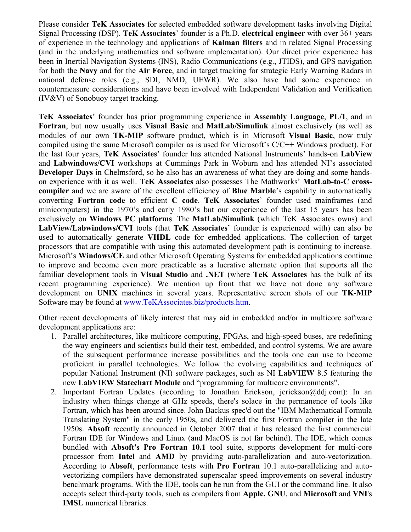Please consider **TeK Associates** for selected embedded software development tasks involving Digital Signal Processing (DSP). **TeK Associates**' founder is a Ph.D. **electrical engineer** with over 36+ years of experience in the technology and applications of **Kalman filters** and in related Signal Processing (and in the underlying mathematics and software implementation). Our direct prior experience has been in Inertial Navigation Systems (INS), Radio Communications (e.g., JTIDS), and GPS navigation for both the **Navy** and for the **Air Force**, and in target tracking for strategic Early Warning Radars in national defense roles (e.g., SDI, NMD, UEWR). We also have had some experience in countermeasure considerations and have been involved with Independent Validation and Verification (IV&V) of Sonobuoy target tracking.

**TeK Associates**' founder has prior programming experience in **Assembly Language**, **PL/1**, and in **Fortran**, but now usually uses **Visual Basic** and **MatLab/Simulink** almost exclusively (as well as modules of our own **TK-MIP** software product, which is in Microsoft **Visual Basic**, now truly compiled using the same Microsoft compiler as is used for Microsoft's C/C++ Windows product). For the last four years, **TeK Associates**' founder has attended National Instruments' hands-on **LabView** and **Labwindows/CVI** workshops at Cummings Park in Woburn and has attended NI's associated **Developer Days** in Chelmsford, so he also has an awareness of what they are doing and some handson experience with it as well. **TeK Associates** also possesses The Mathworks' **MatLab-to-C crosscompiler** and we are aware of the excellent efficiency of **Blue Marble**'s capability in automatically converting **Fortran code** to efficient **C code**. **TeK Associates**' founder used mainframes (and minicomputers) in the 1970's and early 1980's but our experience of the last 15 years has been exclusively on **Windows PC platforms**. The **MatLab/Simulink** (which TeK Associates owns) and **LabView/Labwindows/CVI** tools (that **TeK Associates**' founder is experienced with) can also be used to automatically generate **VHDL** code for embedded applications. The collection of target processors that are compatible with using this automated development path is continuing to increase. Microsoft's **Windows/CE** and other Microsoft Operating Systems for embedded applications continue to improve and become even more practicable as a lucrative alternate option that supports all the familiar development tools in **Visual Studio** and **.NET** (where **TeK Associates** has the bulk of its recent programming experience). We mention up front that we have not done any software development on **UNIX** machines in several years. Representative screen shots of our **TK-MIP** Software may be found at [www.TeKAssociates.biz/products.htm](http://www.tekassociates.biz/products.htm).

Other recent developments of likely interest that may aid in embedded and/or in multicore software development applications are:

- 1. Parallel architectures, like multicore computing, FPGAs, and high-speed buses, are redefining the way engineers and scientists build their test, embedded, and control systems. We are aware of the subsequent performance increase possibilities and the tools one can use to become proficient in parallel technologies. We follow the evolving capabilities and techniques of popular National Instrument (NI) software packages, such as NI **LabVIEW** 8.5 featuring the new **LabVIEW Statechart Module** and "programming for multicore environments".
- 2. Important Fortran Updates (according to Jonathan Erickson, jerickson@ddj.com): In an industry when things change at GHz speeds, there's solace in the permanence of tools like Fortran, which has been around since. John Backus spec'd out the "IBM Mathematical Formula Translating System" in the early 1950s, and delivered the first Fortran compiler in the late 1950s. **Absoft** recently announced in October 2007 that it has released the first commercial Fortran IDE for Windows and Linux (and MacOS is not far behind). The IDE, which comes bundled with **Absoft's Pro Fortran 10.1** tool suite, supports development for multi-core processor from **Intel** and **AMD** by providing auto-parallelization and auto-vectorization. According to **Absoft**, performance tests with **Pro Fortran** 10.1 auto-parallelizing and autovectorizing compilers have demonstrated superscalar speed improvements on several industry benchmark programs. With the IDE, tools can be run from the GUI or the command line. It also accepts select third-party tools, such as compilers from **Apple, GNU**, and **Microsoft** and **VNI**'s **IMSL** numerical libraries.